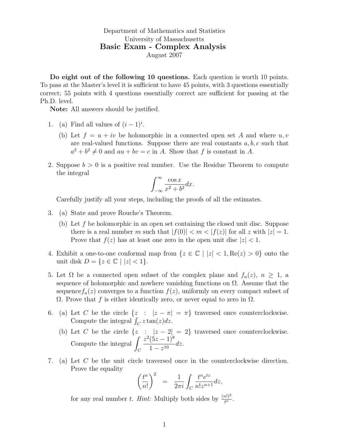Department of Mathematics and Statistics University of Massachusetts Basic Exam - Complex Analysis August 2007

Do eight out of the following 10 questions. Each question is worth 10 points. To pass at the Master's level it is sufficient to have 45 points, with 3 questions essentially correct; 55 points with 4 questions essentially correct are sufficient for passing at the Ph.D. level.

Note: All answers should be justified.

- 1. (a) Find all values of  $(i-1)^i$ .
	- (b) Let  $f = u + iv$  be holomorphic in a connected open set A and where  $u, v$ are real-valued functions. Suppose there are real constants  $a, b, c$  such that  $a^2 + b^2 \neq 0$  and  $au + bv = c$  in A. Show that f is constant in A.
- 2. Suppose  $b > 0$  is a positive real number. Use the Residue Theorem to compute the integral

$$
\int_{-\infty}^{\infty} \frac{\cos x}{x^2 + b^2} dx.
$$

Carefully justify all your steps, including the proofs of all the estimates.

- 3. (a) State and prove Rouche's Theorem.
	- (b) Let f be holomorphic in an open set containing the closed unit disc. Suppose there is a real number m such that  $|f(0)| < m < |f(z)|$  for all z with  $|z| = 1$ . Prove that  $f(z)$  has at least one zero in the open unit disc  $|z| < 1$ .
- 4. Exhibit a one-to-one conformal map from  $\{z \in \mathbb{C} \mid |z| < 1, \text{Re}(z) > 0\}$  onto the unit disk  $D = \{z \in \mathbb{C} \mid |z| < 1\}.$
- 5. Let  $\Omega$  be a connected open subset of the complex plane and  $f_n(z)$ ,  $n \geq 1$ , a sequence of holomorphic and nowhere vanishing functions on  $\Omega$ . Assume that the sequence  $f_n(z)$  converges to a function  $f(z)$ , uniformly on every compact subset of  $Ω.$  Prove that f is either identically zero, or never equal to zero in  $Ω$ .
- 6. (a) Let C be the circle  $\{z : |z \pi| = \pi\}$  traversed once counterclockwise. Compute the integral  $\int_C z \tan(z) dz$ .
	- (b) Let C be the circle  $\{z : |z 2| = 2\}$  traversed once counterclockwise. Compute the integral  $\int$  $\mathcal{C}_{0}^{0}$  $z^2(5z-1)^8$  $\frac{(3z-1)}{1-z^{10}}$  dz.
- 7. (a) Let C be the unit circle traversed once in the counterclockwise direction. Prove the equality

$$
\left(\frac{t^n}{n!}\right)^2 = \frac{1}{2\pi i} \int_C \frac{t^n e^{tz}}{n! z^{n+1}} dz,
$$

for any real number t. *Hint:* Multiply both sides by  $\frac{(n!)^2}{t^n}$ .